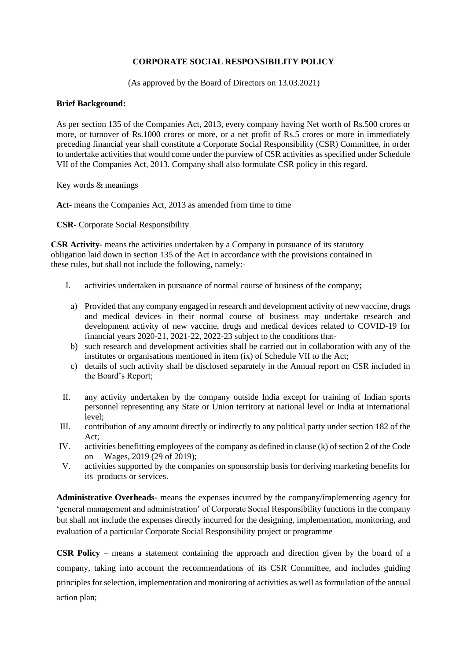# **CORPORATE SOCIAL RESPONSIBILITY POLICY**

(As approved by the Board of Directors on 13.03.2021)

### **Brief Background:**

As per section 135 of the Companies Act, 2013, every company having Net worth of Rs.500 crores or more, or turnover of Rs.1000 crores or more, or a net profit of Rs.5 crores or more in immediately preceding financial year shall constitute a Corporate Social Responsibility (CSR) Committee, in order to undertake activities that would come under the purview of CSR activities as specified under Schedule VII of the Companies Act, 2013. Company shall also formulate CSR policy in this regard.

Key words & meanings

**Ac**t- means the Companies Act, 2013 as amended from time to time

**CSR**- Corporate Social Responsibility

**CSR Activity**- means the activities undertaken by a Company in pursuance of its statutory obligation laid down in section 135 of the Act in accordance with the provisions contained in these rules, but shall not include the following, namely:-

- I. activities undertaken in pursuance of normal course of business of the company;
	- a) Provided that any company engaged in research and development activity of new vaccine, drugs and medical devices in their normal course of business may undertake research and development activity of new vaccine, drugs and medical devices related to COVID-19 for financial years 2020-21, 2021-22, 2022-23 subject to the conditions that-
	- b) such research and development activities shall be carried out in collaboration with any of the institutes or organisations mentioned in item (ix) of Schedule VII to the Act;
	- c) details of such activity shall be disclosed separately in the Annual report on CSR included in the Board's Report;
- II. any activity undertaken by the company outside India except for training of Indian sports personnel representing any State or Union territory at national level or India at international level;
- III. contribution of any amount directly or indirectly to any political party under section 182 of the  $Act$
- IV. activities benefitting employees of the company as defined in clause (k) of section 2 of the Code on Wages, 2019 (29 of 2019);
- V. activities supported by the companies on sponsorship basis for deriving marketing benefits for its products or services.

**Administrative Overheads-** means the expenses incurred by the company/implementing agency for 'general management and administration' of Corporate Social Responsibility functions in the company but shall not include the expenses directly incurred for the designing, implementation, monitoring, and evaluation of a particular Corporate Social Responsibility project or programme

**CSR Policy** – means a statement containing the approach and direction given by the board of a company, taking into account the recommendations of its CSR Committee, and includes guiding principles for selection, implementation and monitoring of activities as well as formulation of the annual action plan;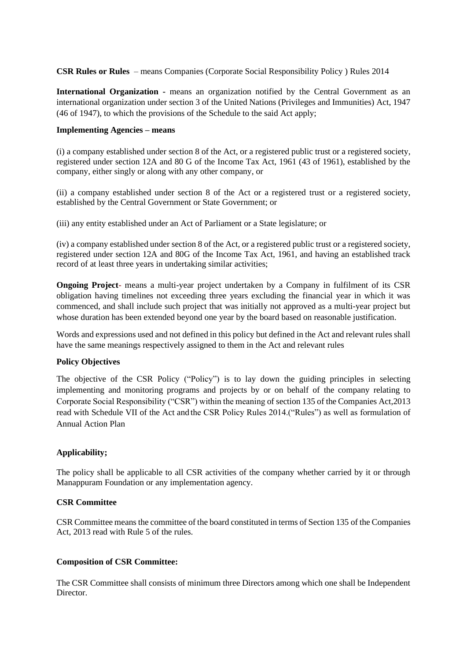**CSR Rules or Rules** – means Companies (Corporate Social Responsibility Policy ) Rules 2014

**International Organization -** means an organization notified by the Central Government as an international organization under section 3 of the United Nations (Privileges and Immunities) Act, 1947 (46 of 1947), to which the provisions of the Schedule to the said Act apply;

### **Implementing Agencies – means**

(i) a company established under section 8 of the Act, or a registered public trust or a registered society, registered under section 12A and 80 G of the Income Tax Act, 1961 (43 of 1961), established by the company, either singly or along with any other company, or

(ii) a company established under section 8 of the Act or a registered trust or a registered society, established by the Central Government or State Government; or

(iii) any entity established under an Act of Parliament or a State legislature; or

(iv) a company established under section 8 of the Act, or a registered public trust or a registered society, registered under section 12A and 80G of the Income Tax Act, 1961, and having an established track record of at least three years in undertaking similar activities;

**Ongoing Project**- means a multi-year project undertaken by a Company in fulfilment of its CSR obligation having timelines not exceeding three years excluding the financial year in which it was commenced, and shall include such project that was initially not approved as a multi-year project but whose duration has been extended beyond one year by the board based on reasonable justification.

Words and expressions used and not defined in this policy but defined in the Act and relevant rules shall have the same meanings respectively assigned to them in the Act and relevant rules

# **Policy Objectives**

The objective of the CSR Policy ("Policy") is to lay down the guiding principles in selecting implementing and monitoring programs and projects by or on behalf of the company relating to Corporate Social Responsibility ("CSR") within the meaning of section 135 of the Companies Act,2013 read with Schedule VII of the Act and the CSR Policy Rules 2014.("Rules") as well as formulation of Annual Action Plan

# **Applicability;**

The policy shall be applicable to all CSR activities of the company whether carried by it or through Manappuram Foundation or any implementation agency.

# **CSR Committee**

CSR Committee means the committee of the board constituted in terms of Section 135 of the Companies Act, 2013 read with Rule 5 of the rules.

# **Composition of CSR Committee:**

The CSR Committee shall consists of minimum three Directors among which one shall be Independent Director.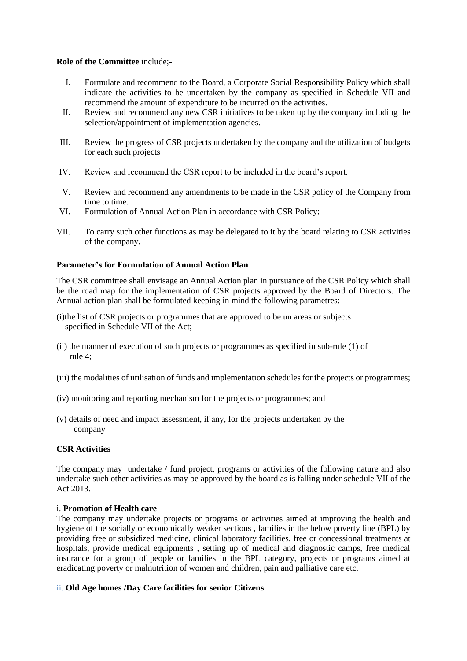#### **Role of the Committee** include;-

- I. Formulate and recommend to the Board, a Corporate Social Responsibility Policy which shall indicate the activities to be undertaken by the company as specified in Schedule VII and recommend the amount of expenditure to be incurred on the activities.
- II. Review and recommend any new CSR initiatives to be taken up by the company including the selection/appointment of implementation agencies.
- III. Review the progress of CSR projects undertaken by the company and the utilization of budgets for each such projects
- IV. Review and recommend the CSR report to be included in the board's report.
- V. Review and recommend any amendments to be made in the CSR policy of the Company from time to time.
- VI. Formulation of Annual Action Plan in accordance with CSR Policy;
- VII. To carry such other functions as may be delegated to it by the board relating to CSR activities of the company.

### **Parameter's for Formulation of Annual Action Plan**

The CSR committee shall envisage an Annual Action plan in pursuance of the CSR Policy which shall be the road map for the implementation of CSR projects approved by the Board of Directors. The Annual action plan shall be formulated keeping in mind the following parametres:

- (i)the list of CSR projects or programmes that are approved to be un areas or subjects specified in Schedule VII of the Act;
- (ii) the manner of execution of such projects or programmes as specified in sub-rule (1) of rule 4;
- (iii) the modalities of utilisation of funds and implementation schedules for the projects or programmes;
- (iv) monitoring and reporting mechanism for the projects or programmes; and
- (v) details of need and impact assessment, if any, for the projects undertaken by the company

### **CSR Activities**

The company may undertake / fund project, programs or activities of the following nature and also undertake such other activities as may be approved by the board as is falling under schedule VII of the Act 2013.

### i. **Promotion of Health care**

The company may undertake projects or programs or activities aimed at improving the health and hygiene of the socially or economically weaker sections , families in the below poverty line (BPL) by providing free or subsidized medicine, clinical laboratory facilities, free or concessional treatments at hospitals, provide medical equipments, setting up of medical and diagnostic camps, free medical insurance for a group of people or families in the BPL category, projects or programs aimed at eradicating poverty or malnutrition of women and children, pain and palliative care etc.

# ii. **Old Age homes /Day Care facilities for senior Citizens**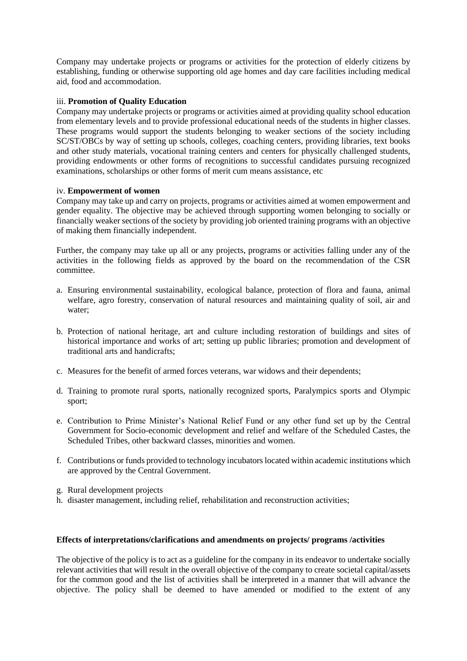Company may undertake projects or programs or activities for the protection of elderly citizens by establishing, funding or otherwise supporting old age homes and day care facilities including medical aid, food and accommodation.

# iii. **Promotion of Quality Education**

Company may undertake projects or programs or activities aimed at providing quality school education from elementary levels and to provide professional educational needs of the students in higher classes. These programs would support the students belonging to weaker sections of the society including SC/ST/OBCs by way of setting up schools, colleges, coaching centers, providing libraries, text books and other study materials, vocational training centers and centers for physically challenged students, providing endowments or other forms of recognitions to successful candidates pursuing recognized examinations, scholarships or other forms of merit cum means assistance, etc

# iv. **Empowerment of women**

Company may take up and carry on projects, programs or activities aimed at women empowerment and gender equality. The objective may be achieved through supporting women belonging to socially or financially weaker sections of the society by providing job oriented training programs with an objective of making them financially independent.

Further, the company may take up all or any projects, programs or activities falling under any of the activities in the following fields as approved by the board on the recommendation of the CSR committee.

- a. Ensuring environmental sustainability, ecological balance, protection of flora and fauna, animal welfare, agro forestry, conservation of natural resources and maintaining quality of soil, air and water;
- b. Protection of national heritage, art and culture including restoration of buildings and sites of historical importance and works of art; setting up public libraries; promotion and development of traditional arts and handicrafts;
- c. Measures for the benefit of armed forces veterans, war widows and their dependents;
- d. Training to promote rural sports, nationally recognized sports, Paralympics sports and Olympic sport;
- e. Contribution to Prime Minister's National Relief Fund or any other fund set up by the Central Government for Socio-economic development and relief and welfare of the Scheduled Castes, the Scheduled Tribes, other backward classes, minorities and women.
- f. Contributions or funds provided to technology incubators located within academic institutions which are approved by the Central Government.
- g. Rural development projects
- h. disaster management, including relief, rehabilitation and reconstruction activities;

### **Effects of interpretations/clarifications and amendments on projects/ programs /activities**

The objective of the policy is to act as a guideline for the company in its endeavor to undertake socially relevant activities that will result in the overall objective of the company to create societal capital/assets for the common good and the list of activities shall be interpreted in a manner that will advance the objective. The policy shall be deemed to have amended or modified to the extent of any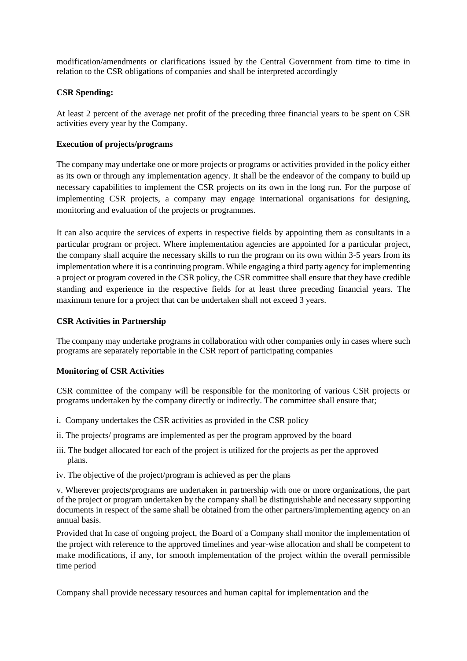modification/amendments or clarifications issued by the Central Government from time to time in relation to the CSR obligations of companies and shall be interpreted accordingly

### **CSR Spending:**

At least 2 percent of the average net profit of the preceding three financial years to be spent on CSR activities every year by the Company.

### **Execution of projects/programs**

The company may undertake one or more projects or programs or activities provided in the policy either as its own or through any implementation agency. It shall be the endeavor of the company to build up necessary capabilities to implement the CSR projects on its own in the long run. For the purpose of implementing CSR projects, a company may engage international organisations for designing, monitoring and evaluation of the projects or programmes.

It can also acquire the services of experts in respective fields by appointing them as consultants in a particular program or project. Where implementation agencies are appointed for a particular project, the company shall acquire the necessary skills to run the program on its own within 3-5 years from its implementation where it is a continuing program. While engaging a third party agency for implementing a project or program covered in the CSR policy, the CSR committee shall ensure that they have credible standing and experience in the respective fields for at least three preceding financial years. The maximum tenure for a project that can be undertaken shall not exceed 3 years.

# **CSR Activities in Partnership**

The company may undertake programs in collaboration with other companies only in cases where such programs are separately reportable in the CSR report of participating companies

### **Monitoring of CSR Activities**

CSR committee of the company will be responsible for the monitoring of various CSR projects or programs undertaken by the company directly or indirectly. The committee shall ensure that;

- i. Company undertakes the CSR activities as provided in the CSR policy
- ii. The projects/ programs are implemented as per the program approved by the board
- iii. The budget allocated for each of the project is utilized for the projects as per the approved plans.
- iv. The objective of the project/program is achieved as per the plans

v. Wherever projects/programs are undertaken in partnership with one or more organizations, the part of the project or program undertaken by the company shall be distinguishable and necessary supporting documents in respect of the same shall be obtained from the other partners/implementing agency on an annual basis.

Provided that In case of ongoing project, the Board of a Company shall monitor the implementation of the project with reference to the approved timelines and year-wise allocation and shall be competent to make modifications, if any, for smooth implementation of the project within the overall permissible time period

Company shall provide necessary resources and human capital for implementation and the